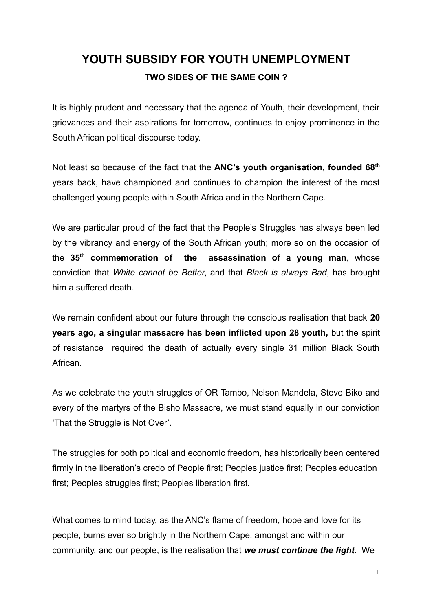# **YOUTH SUBSIDY FOR YOUTH UNEMPLOYMENT TWO SIDES OF THE SAME COIN ?**

It is highly prudent and necessary that the agenda of Youth, their development, their grievances and their aspirations for tomorrow, continues to enjoy prominence in the South African political discourse today.

Not least so because of the fact that the **ANC's youth organisation, founded 68th** years back, have championed and continues to champion the interest of the most challenged young people within South Africa and in the Northern Cape.

We are particular proud of the fact that the People's Struggles has always been led by the vibrancy and energy of the South African youth; more so on the occasion of the **35th commemoration of the assassination of a young man**, whose conviction that *White cannot be Better*, and that *Black is always Bad*, has brought him a suffered death.

We remain confident about our future through the conscious realisation that back **20 years ago, a singular massacre has been inflicted upon 28 youth,** but the spirit of resistance required the death of actually every single 31 million Black South African.

As we celebrate the youth struggles of OR Tambo, Nelson Mandela, Steve Biko and every of the martyrs of the Bisho Massacre, we must stand equally in our conviction 'That the Struggle is Not Over'.

The struggles for both political and economic freedom, has historically been centered firmly in the liberation's credo of People first; Peoples justice first; Peoples education first; Peoples struggles first; Peoples liberation first.

What comes to mind today, as the ANC's flame of freedom, hope and love for its people, burns ever so brightly in the Northern Cape, amongst and within our community, and our people, is the realisation that *we must continue the fight.* We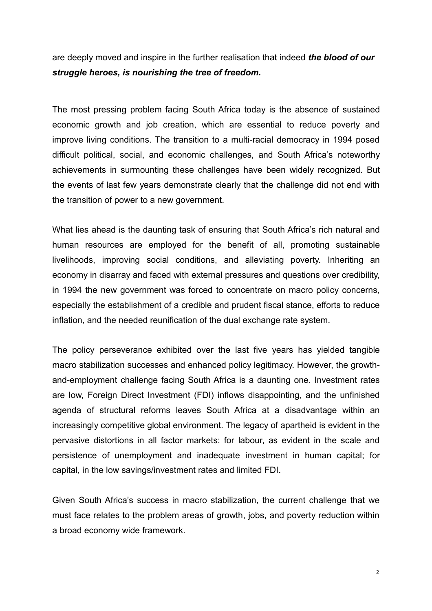are deeply moved and inspire in the further realisation that indeed *the blood of our struggle heroes, is nourishing the tree of freedom.* 

The most pressing problem facing South Africa today is the absence of sustained economic growth and job creation, which are essential to reduce poverty and improve living conditions. The transition to a multi-racial democracy in 1994 posed difficult political, social, and economic challenges, and South Africa's noteworthy achievements in surmounting these challenges have been widely recognized. But the events of last few years demonstrate clearly that the challenge did not end with the transition of power to a new government.

What lies ahead is the daunting task of ensuring that South Africa's rich natural and human resources are employed for the benefit of all, promoting sustainable livelihoods, improving social conditions, and alleviating poverty. Inheriting an economy in disarray and faced with external pressures and questions over credibility, in 1994 the new government was forced to concentrate on macro policy concerns, especially the establishment of a credible and prudent fiscal stance, efforts to reduce inflation, and the needed reunification of the dual exchange rate system.

The policy perseverance exhibited over the last five years has yielded tangible macro stabilization successes and enhanced policy legitimacy. However, the growthand-employment challenge facing South Africa is a daunting one. Investment rates are low, Foreign Direct Investment (FDI) inflows disappointing, and the unfinished agenda of structural reforms leaves South Africa at a disadvantage within an increasingly competitive global environment. The legacy of apartheid is evident in the pervasive distortions in all factor markets: for labour, as evident in the scale and persistence of unemployment and inadequate investment in human capital; for capital, in the low savings/investment rates and limited FDI.

Given South Africa's success in macro stabilization, the current challenge that we must face relates to the problem areas of growth, jobs, and poverty reduction within a broad economy wide framework.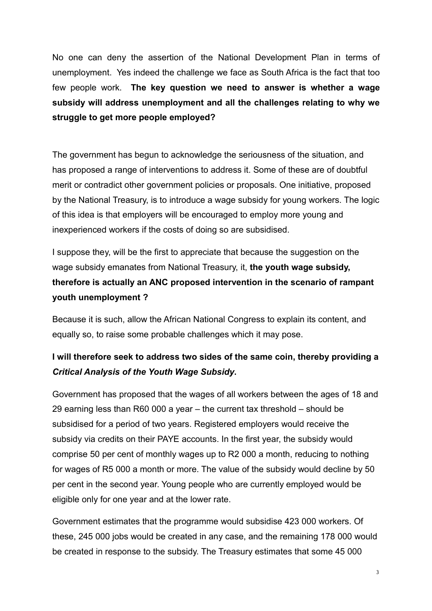No one can deny the assertion of the National Development Plan in terms of unemployment. Yes indeed the challenge we face as South Africa is the fact that too few people work. **The key question we need to answer is whether a wage subsidy will address unemployment and all the challenges relating to why we struggle to get more people employed?**

The government has begun to acknowledge the seriousness of the situation, and has proposed a range of interventions to address it. Some of these are of doubtful merit or contradict other government policies or proposals. One initiative, proposed by the National Treasury, is to introduce a wage subsidy for young workers. The logic of this idea is that employers will be encouraged to employ more young and inexperienced workers if the costs of doing so are subsidised.

I suppose they, will be the first to appreciate that because the suggestion on the wage subsidy emanates from National Treasury, it, **the youth wage subsidy, therefore is actually an ANC proposed intervention in the scenario of rampant youth unemployment ?**

Because it is such, allow the African National Congress to explain its content, and equally so, to raise some probable challenges which it may pose.

## **I will therefore seek to address two sides of the same coin, thereby providing a** *Critical Analysis of the Youth Wage Subsidy***.**

Government has proposed that the wages of all workers between the ages of 18 and 29 earning less than R60 000 a year – the current tax threshold – should be subsidised for a period of two years. Registered employers would receive the subsidy via credits on their PAYE accounts. In the first year, the subsidy would comprise 50 per cent of monthly wages up to R2 000 a month, reducing to nothing for wages of R5 000 a month or more. The value of the subsidy would decline by 50 per cent in the second year. Young people who are currently employed would be eligible only for one year and at the lower rate.

Government estimates that the programme would subsidise 423 000 workers. Of these, 245 000 jobs would be created in any case, and the remaining 178 000 would be created in response to the subsidy. The Treasury estimates that some 45 000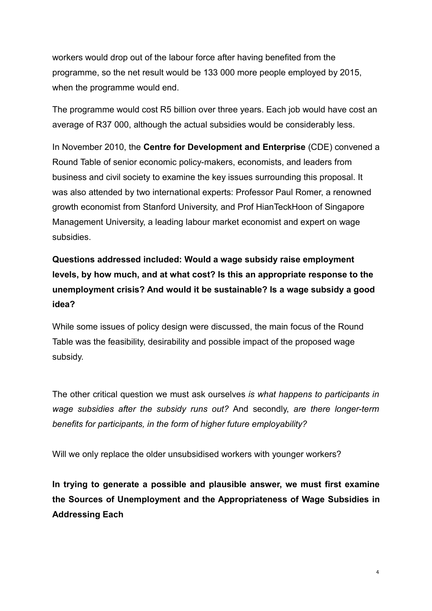workers would drop out of the labour force after having benefited from the programme, so the net result would be 133 000 more people employed by 2015, when the programme would end.

The programme would cost R5 billion over three years. Each job would have cost an average of R37 000, although the actual subsidies would be considerably less.

In November 2010, the **Centre for Development and Enterprise** (CDE) convened a Round Table of senior economic policy-makers, economists, and leaders from business and civil society to examine the key issues surrounding this proposal. It was also attended by two international experts: Professor Paul Romer, a renowned growth economist from Stanford University, and Prof HianTeckHoon of Singapore Management University, a leading labour market economist and expert on wage subsidies.

## **Questions addressed included: Would a wage subsidy raise employment levels, by how much, and at what cost? Is this an appropriate response to the unemployment crisis? And would it be sustainable? Is a wage subsidy a good idea?**

While some issues of policy design were discussed, the main focus of the Round Table was the feasibility, desirability and possible impact of the proposed wage subsidy.

The other critical question we must ask ourselves *is what happens to participants in wage subsidies after the subsidy runs out?* And secondly, *are there longer-term benefits for participants, in the form of higher future employability?*

Will we only replace the older unsubsidised workers with younger workers?

**In trying to generate a possible and plausible answer, we must first examine the Sources of Unemployment and the Appropriateness of Wage Subsidies in Addressing Each**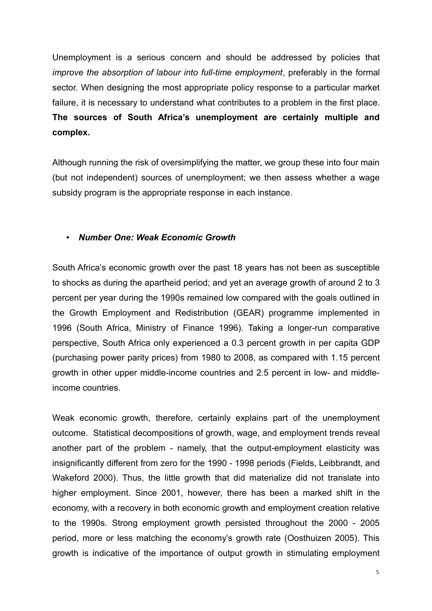Unemployment is a serious concern and should be addressed by policies that *improve the absorption of labour into full-time employment*, preferably in the formal sector. When designing the most appropriate policy response to a particular market failure, it is necessary to understand what contributes to a problem in the first place. **The sources of South Africa's unemployment are certainly multiple and complex.**

Although running the risk of oversimplifying the matter, we group these into four main (but not independent) sources of unemployment; we then assess whether a wage subsidy program is the appropriate response in each instance.

## • *Number One: Weak Economic Growth*

South Africa's economic growth over the past 18 years has not been as susceptible to shocks as during the apartheid period; and yet an average growth of around 2 to 3 percent per year during the 1990s remained low compared with the goals outlined in the Growth Employment and Redistribution (GEAR) programme implemented in 1996 (South Africa, Ministry of Finance 1996). Taking a longer-run comparative perspective, South Africa only experienced a 0.3 percent growth in per capita GDP (purchasing power parity prices) from 1980 to 2008, as compared with 1.15 percent growth in other upper middle-income countries and 2.5 percent in low- and middleincome countries.

Weak economic growth, therefore, certainly explains part of the unemployment outcome. Statistical decompositions of growth, wage, and employment trends reveal another part of the problem - namely, that the output-employment elasticity was insignificantly different from zero for the 1990 - 1998 periods (Fields, Leibbrandt, and Wakeford 2000). Thus, the little growth that did materialize did not translate into higher employment. Since 2001, however, there has been a marked shift in the economy, with a recovery in both economic growth and employment creation relative to the 1990s. Strong employment growth persisted throughout the 2000 - 2005 period, more or less matching the economy's growth rate (Oosthuizen 2005). This growth is indicative of the importance of output growth in stimulating employment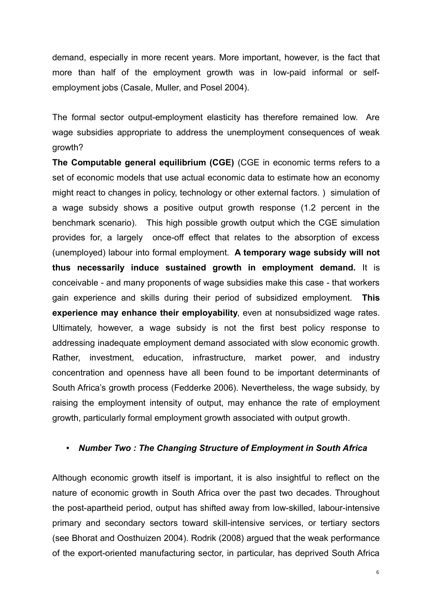demand, especially in more recent years. More important, however, is the fact that more than half of the employment growth was in low-paid informal or selfemployment jobs (Casale, Muller, and Posel 2004).

The formal sector output-employment elasticity has therefore remained low. Are wage subsidies appropriate to address the unemployment consequences of weak growth?

**The Computable general equilibrium (CGE)** (CGE in economic terms refers to a set of economic models that use actual economic data to estimate how an economy might react to changes in policy, technology or other external factors. ) simulation of a wage subsidy shows a positive output growth response (1.2 percent in the benchmark scenario). This high possible growth output which the CGE simulation provides for, a largely once-off effect that relates to the absorption of excess (unemployed) labour into formal employment. **A temporary wage subsidy will not thus necessarily induce sustained growth in employment demand.** It is conceivable - and many proponents of wage subsidies make this case - that workers gain experience and skills during their period of subsidized employment. **This experience may enhance their employability**, even at nonsubsidized wage rates. Ultimately, however, a wage subsidy is not the first best policy response to addressing inadequate employment demand associated with slow economic growth. Rather, investment, education, infrastructure, market power, and industry concentration and openness have all been found to be important determinants of South Africa's growth process (Fedderke 2006). Nevertheless, the wage subsidy, by raising the employment intensity of output, may enhance the rate of employment growth, particularly formal employment growth associated with output growth.

#### • *Number Two : The Changing Structure of Employment in South Africa*

Although economic growth itself is important, it is also insightful to reflect on the nature of economic growth in South Africa over the past two decades. Throughout the post-apartheid period, output has shifted away from low-skilled, labour-intensive primary and secondary sectors toward skill-intensive services, or tertiary sectors (see Bhorat and Oosthuizen 2004). Rodrik (2008) argued that the weak performance of the export-oriented manufacturing sector, in particular, has deprived South Africa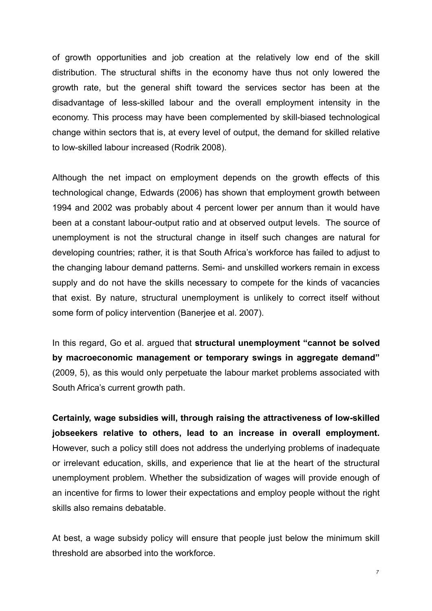of growth opportunities and job creation at the relatively low end of the skill distribution. The structural shifts in the economy have thus not only lowered the growth rate, but the general shift toward the services sector has been at the disadvantage of less-skilled labour and the overall employment intensity in the economy. This process may have been complemented by skill-biased technological change within sectors that is, at every level of output, the demand for skilled relative to low-skilled labour increased (Rodrik 2008).

Although the net impact on employment depends on the growth effects of this technological change, Edwards (2006) has shown that employment growth between 1994 and 2002 was probably about 4 percent lower per annum than it would have been at a constant labour-output ratio and at observed output levels. The source of unemployment is not the structural change in itself such changes are natural for developing countries; rather, it is that South Africa's workforce has failed to adjust to the changing labour demand patterns. Semi- and unskilled workers remain in excess supply and do not have the skills necessary to compete for the kinds of vacancies that exist. By nature, structural unemployment is unlikely to correct itself without some form of policy intervention (Banerjee et al. 2007).

In this regard, Go et al. argued that **structural unemployment "cannot be solved by macroeconomic management or temporary swings in aggregate demand"** (2009, 5), as this would only perpetuate the labour market problems associated with South Africa's current growth path.

**Certainly, wage subsidies will, through raising the attractiveness of low-skilled jobseekers relative to others, lead to an increase in overall employment.** However, such a policy still does not address the underlying problems of inadequate or irrelevant education, skills, and experience that lie at the heart of the structural unemployment problem. Whether the subsidization of wages will provide enough of an incentive for firms to lower their expectations and employ people without the right skills also remains debatable.

At best, a wage subsidy policy will ensure that people just below the minimum skill threshold are absorbed into the workforce.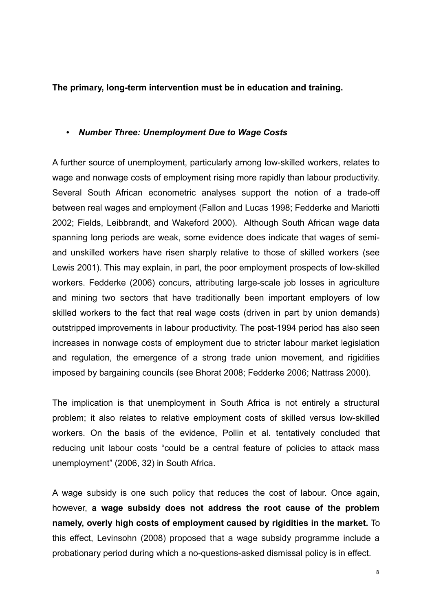**The primary, long-term intervention must be in education and training.**

### • *Number Three: Unemployment Due to Wage Costs*

A further source of unemployment, particularly among low-skilled workers, relates to wage and nonwage costs of employment rising more rapidly than labour productivity. Several South African econometric analyses support the notion of a trade-off between real wages and employment (Fallon and Lucas 1998; Fedderke and Mariotti 2002; Fields, Leibbrandt, and Wakeford 2000). Although South African wage data spanning long periods are weak, some evidence does indicate that wages of semiand unskilled workers have risen sharply relative to those of skilled workers (see Lewis 2001). This may explain, in part, the poor employment prospects of low-skilled workers. Fedderke (2006) concurs, attributing large-scale job losses in agriculture and mining two sectors that have traditionally been important employers of low skilled workers to the fact that real wage costs (driven in part by union demands) outstripped improvements in labour productivity. The post-1994 period has also seen increases in nonwage costs of employment due to stricter labour market legislation and regulation, the emergence of a strong trade union movement, and rigidities imposed by bargaining councils (see Bhorat 2008; Fedderke 2006; Nattrass 2000).

The implication is that unemployment in South Africa is not entirely a structural problem; it also relates to relative employment costs of skilled versus low-skilled workers. On the basis of the evidence, Pollin et al. tentatively concluded that reducing unit labour costs "could be a central feature of policies to attack mass unemployment" (2006, 32) in South Africa.

A wage subsidy is one such policy that reduces the cost of labour. Once again, however, **a wage subsidy does not address the root cause of the problem namely, overly high costs of employment caused by rigidities in the market.** To this effect, Levinsohn (2008) proposed that a wage subsidy programme include a probationary period during which a no-questions-asked dismissal policy is in effect.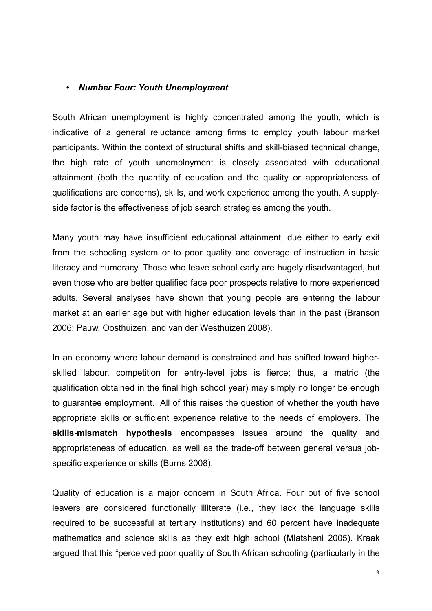#### • *Number Four: Youth Unemployment*

South African unemployment is highly concentrated among the youth, which is indicative of a general reluctance among firms to employ youth labour market participants. Within the context of structural shifts and skill-biased technical change, the high rate of youth unemployment is closely associated with educational attainment (both the quantity of education and the quality or appropriateness of qualifications are concerns), skills, and work experience among the youth. A supplyside factor is the effectiveness of job search strategies among the youth.

Many youth may have insufficient educational attainment, due either to early exit from the schooling system or to poor quality and coverage of instruction in basic literacy and numeracy. Those who leave school early are hugely disadvantaged, but even those who are better qualified face poor prospects relative to more experienced adults. Several analyses have shown that young people are entering the labour market at an earlier age but with higher education levels than in the past (Branson 2006; Pauw, Oosthuizen, and van der Westhuizen 2008).

In an economy where labour demand is constrained and has shifted toward higherskilled labour, competition for entry-level jobs is fierce; thus, a matric (the qualification obtained in the final high school year) may simply no longer be enough to guarantee employment. All of this raises the question of whether the youth have appropriate skills or sufficient experience relative to the needs of employers. The **skills-mismatch hypothesis** encompasses issues around the quality and appropriateness of education, as well as the trade-off between general versus jobspecific experience or skills (Burns 2008).

Quality of education is a major concern in South Africa. Four out of five school leavers are considered functionally illiterate (i.e., they lack the language skills required to be successful at tertiary institutions) and 60 percent have inadequate mathematics and science skills as they exit high school (Mlatsheni 2005). Kraak argued that this "perceived poor quality of South African schooling (particularly in the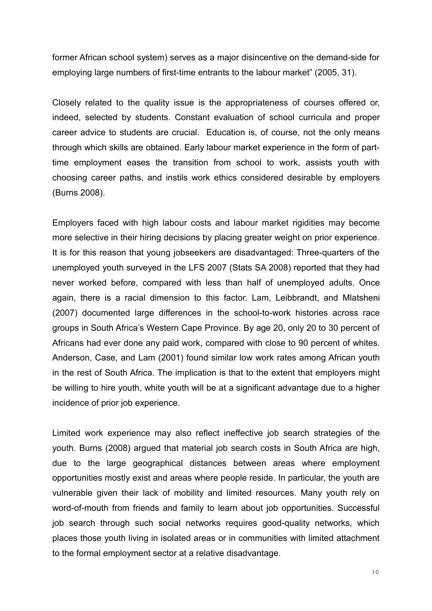former African school system) serves as a major disincentive on the demand-side for employing large numbers of first-time entrants to the labour market" (2005, 31).

Closely related to the quality issue is the appropriateness of courses offered or, indeed, selected by students. Constant evaluation of school curricula and proper career advice to students are crucial. Education is, of course, not the only means through which skills are obtained. Early labour market experience in the form of parttime employment eases the transition from school to work, assists youth with choosing career paths, and instils work ethics considered desirable by employers (Burns 2008).

Employers faced with high labour costs and labour market rigidities may become more selective in their hiring decisions by placing greater weight on prior experience. It is for this reason that young jobseekers are disadvantaged: Three-quarters of the unemployed youth surveyed in the LFS 2007 (Stats SA 2008) reported that they had never worked before, compared with less than half of unemployed adults. Once again, there is a racial dimension to this factor. Lam, Leibbrandt, and Mlatsheni (2007) documented large differences in the school-to-work histories across race groups in South Africa's Western Cape Province. By age 20, only 20 to 30 percent of Africans had ever done any paid work, compared with close to 90 percent of whites. Anderson, Case, and Lam (2001) found similar low work rates among African youth in the rest of South Africa. The implication is that to the extent that employers might be willing to hire youth, white youth will be at a significant advantage due to a higher incidence of prior job experience.

Limited work experience may also reflect ineffective job search strategies of the youth. Burns (2008) argued that material job search costs in South Africa are high, due to the large geographical distances between areas where employment opportunities mostly exist and areas where people reside. In particular, the youth are vulnerable given their lack of mobility and limited resources. Many youth rely on word-of-mouth from friends and family to learn about job opportunities. Successful job search through such social networks requires good-quality networks, which places those youth living in isolated areas or in communities with limited attachment to the formal employment sector at a relative disadvantage.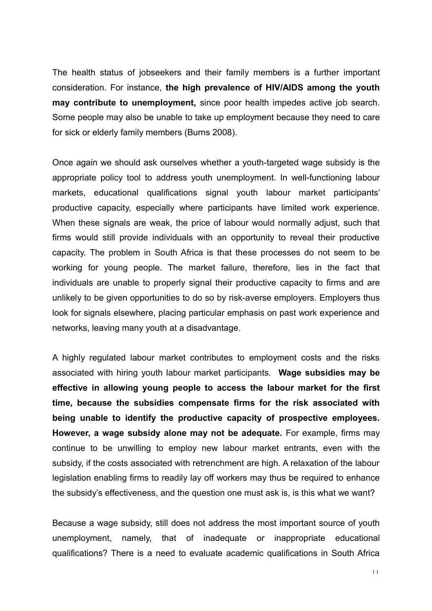The health status of jobseekers and their family members is a further important consideration. For instance, **the high prevalence of HIV/AIDS among the youth may contribute to unemployment,** since poor health impedes active job search. Some people may also be unable to take up employment because they need to care for sick or elderly family members (Burns 2008).

Once again we should ask ourselves whether a youth-targeted wage subsidy is the appropriate policy tool to address youth unemployment. In well-functioning labour markets, educational qualifications signal youth labour market participants' productive capacity, especially where participants have limited work experience. When these signals are weak, the price of labour would normally adjust, such that firms would still provide individuals with an opportunity to reveal their productive capacity. The problem in South Africa is that these processes do not seem to be working for young people. The market failure, therefore, lies in the fact that individuals are unable to properly signal their productive capacity to firms and are unlikely to be given opportunities to do so by risk-averse employers. Employers thus look for signals elsewhere, placing particular emphasis on past work experience and networks, leaving many youth at a disadvantage.

A highly regulated labour market contributes to employment costs and the risks associated with hiring youth labour market participants. **Wage subsidies may be effective in allowing young people to access the labour market for the first time, because the subsidies compensate firms for the risk associated with being unable to identify the productive capacity of prospective employees. However, a wage subsidy alone may not be adequate.** For example, firms may continue to be unwilling to employ new labour market entrants, even with the subsidy, if the costs associated with retrenchment are high. A relaxation of the labour legislation enabling firms to readily lay off workers may thus be required to enhance the subsidy's effectiveness, and the question one must ask is, is this what we want?

Because a wage subsidy, still does not address the most important source of youth unemployment, namely, that of inadequate or inappropriate educational qualifications? There is a need to evaluate academic qualifications in South Africa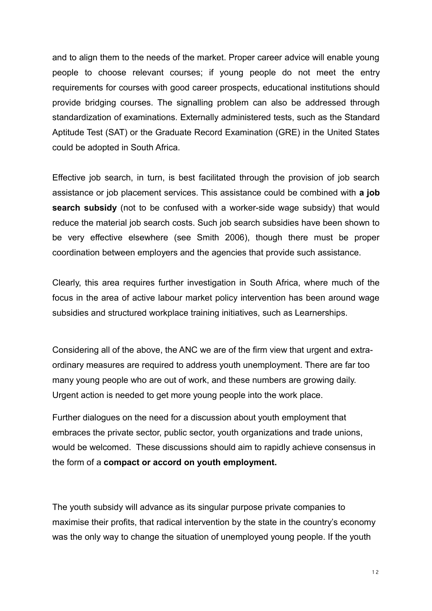and to align them to the needs of the market. Proper career advice will enable young people to choose relevant courses; if young people do not meet the entry requirements for courses with good career prospects, educational institutions should provide bridging courses. The signalling problem can also be addressed through standardization of examinations. Externally administered tests, such as the Standard Aptitude Test (SAT) or the Graduate Record Examination (GRE) in the United States could be adopted in South Africa.

Effective job search, in turn, is best facilitated through the provision of job search assistance or job placement services. This assistance could be combined with **a job search subsidy** (not to be confused with a worker-side wage subsidy) that would reduce the material job search costs. Such job search subsidies have been shown to be very effective elsewhere (see Smith 2006), though there must be proper coordination between employers and the agencies that provide such assistance.

Clearly, this area requires further investigation in South Africa, where much of the focus in the area of active labour market policy intervention has been around wage subsidies and structured workplace training initiatives, such as Learnerships.

Considering all of the above, the ANC we are of the firm view that urgent and extraordinary measures are required to address youth unemployment. There are far too many young people who are out of work, and these numbers are growing daily. Urgent action is needed to get more young people into the work place.

Further dialogues on the need for a discussion about youth employment that embraces the private sector, public sector, youth organizations and trade unions, would be welcomed. These discussions should aim to rapidly achieve consensus in the form of a **compact or accord on youth employment.**

The youth subsidy will advance as its singular purpose private companies to maximise their profits, that radical intervention by the state in the country's economy was the only way to change the situation of unemployed young people. If the youth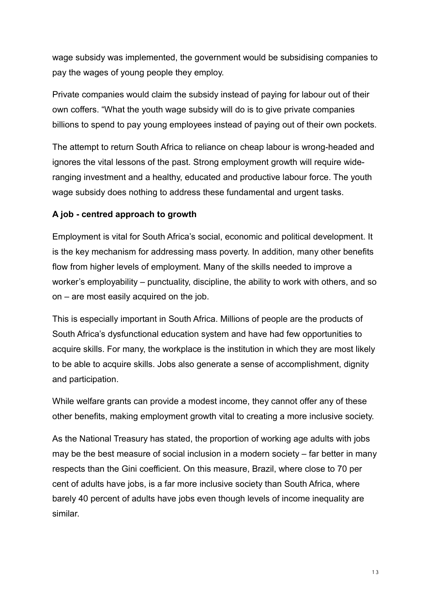wage subsidy was implemented, the government would be subsidising companies to pay the wages of young people they employ.

Private companies would claim the subsidy instead of paying for labour out of their own coffers. "What the youth wage subsidy will do is to give private companies billions to spend to pay young employees instead of paying out of their own pockets.

The attempt to return South Africa to reliance on cheap labour is wrong-headed and ignores the vital lessons of the past. Strong employment growth will require wideranging investment and a healthy, educated and productive labour force. The youth wage subsidy does nothing to address these fundamental and urgent tasks.

## **A job - centred approach to growth**

Employment is vital for South Africa's social, economic and political development. It is the key mechanism for addressing mass poverty. In addition, many other benefits flow from higher levels of employment. Many of the skills needed to improve a worker's employability – punctuality, discipline, the ability to work with others, and so on – are most easily acquired on the job.

This is especially important in South Africa. Millions of people are the products of South Africa's dysfunctional education system and have had few opportunities to acquire skills. For many, the workplace is the institution in which they are most likely to be able to acquire skills. Jobs also generate a sense of accomplishment, dignity and participation.

While welfare grants can provide a modest income, they cannot offer any of these other benefits, making employment growth vital to creating a more inclusive society.

As the National Treasury has stated, the proportion of working age adults with jobs may be the best measure of social inclusion in a modern society – far better in many respects than the Gini coefficient. On this measure, Brazil, where close to 70 per cent of adults have jobs, is a far more inclusive society than South Africa, where barely 40 percent of adults have jobs even though levels of income inequality are similar.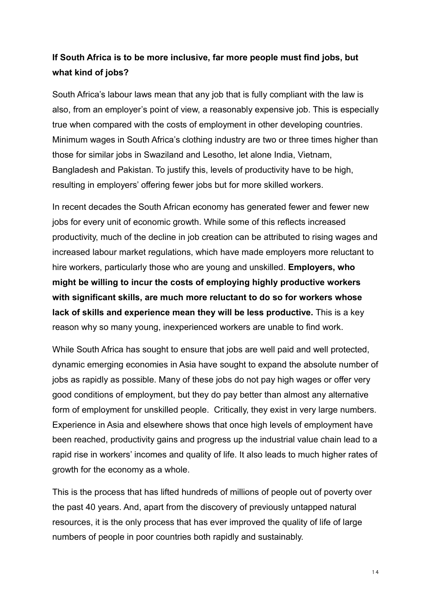## **If South Africa is to be more inclusive, far more people must find jobs, but what kind of jobs?**

South Africa's labour laws mean that any job that is fully compliant with the law is also, from an employer's point of view, a reasonably expensive job. This is especially true when compared with the costs of employment in other developing countries. Minimum wages in South Africa's clothing industry are two or three times higher than those for similar jobs in Swaziland and Lesotho, let alone India, Vietnam, Bangladesh and Pakistan. To justify this, levels of productivity have to be high, resulting in employers' offering fewer jobs but for more skilled workers.

In recent decades the South African economy has generated fewer and fewer new jobs for every unit of economic growth. While some of this reflects increased productivity, much of the decline in job creation can be attributed to rising wages and increased labour market regulations, which have made employers more reluctant to hire workers, particularly those who are young and unskilled. **Employers, who might be willing to incur the costs of employing highly productive workers with significant skills, are much more reluctant to do so for workers whose lack of skills and experience mean they will be less productive.** This is a key reason why so many young, inexperienced workers are unable to find work.

While South Africa has sought to ensure that jobs are well paid and well protected, dynamic emerging economies in Asia have sought to expand the absolute number of jobs as rapidly as possible. Many of these jobs do not pay high wages or offer very good conditions of employment, but they do pay better than almost any alternative form of employment for unskilled people. Critically, they exist in very large numbers. Experience in Asia and elsewhere shows that once high levels of employment have been reached, productivity gains and progress up the industrial value chain lead to a rapid rise in workers' incomes and quality of life. It also leads to much higher rates of growth for the economy as a whole.

This is the process that has lifted hundreds of millions of people out of poverty over the past 40 years. And, apart from the discovery of previously untapped natural resources, it is the only process that has ever improved the quality of life of large numbers of people in poor countries both rapidly and sustainably.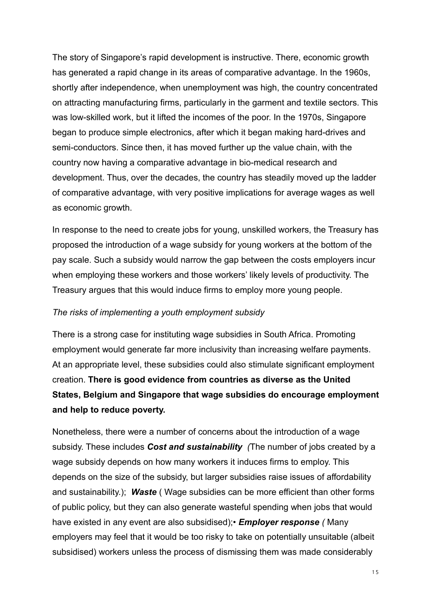The story of Singapore's rapid development is instructive. There, economic growth has generated a rapid change in its areas of comparative advantage. In the 1960s, shortly after independence, when unemployment was high, the country concentrated on attracting manufacturing firms, particularly in the garment and textile sectors. This was low-skilled work, but it lifted the incomes of the poor. In the 1970s, Singapore began to produce simple electronics, after which it began making hard-drives and semi-conductors. Since then, it has moved further up the value chain, with the country now having a comparative advantage in bio-medical research and development. Thus, over the decades, the country has steadily moved up the ladder of comparative advantage, with very positive implications for average wages as well as economic growth.

In response to the need to create jobs for young, unskilled workers, the Treasury has proposed the introduction of a wage subsidy for young workers at the bottom of the pay scale. Such a subsidy would narrow the gap between the costs employers incur when employing these workers and those workers' likely levels of productivity. The Treasury argues that this would induce firms to employ more young people.

#### *The risks of implementing a youth employment subsidy*

There is a strong case for instituting wage subsidies in South Africa. Promoting employment would generate far more inclusivity than increasing welfare payments. At an appropriate level, these subsidies could also stimulate significant employment creation. **There is good evidence from countries as diverse as the United States, Belgium and Singapore that wage subsidies do encourage employment and help to reduce poverty.**

Nonetheless, there were a number of concerns about the introduction of a wage subsidy. These includes *Cost and sustainability (*The number of jobs created by a wage subsidy depends on how many workers it induces firms to employ. This depends on the size of the subsidy, but larger subsidies raise issues of affordability and sustainability.); *Waste* ( Wage subsidies can be more efficient than other forms of public policy, but they can also generate wasteful spending when jobs that would have existed in any event are also subsidised);• *Employer response (* Many employers may feel that it would be too risky to take on potentially unsuitable (albeit subsidised) workers unless the process of dismissing them was made considerably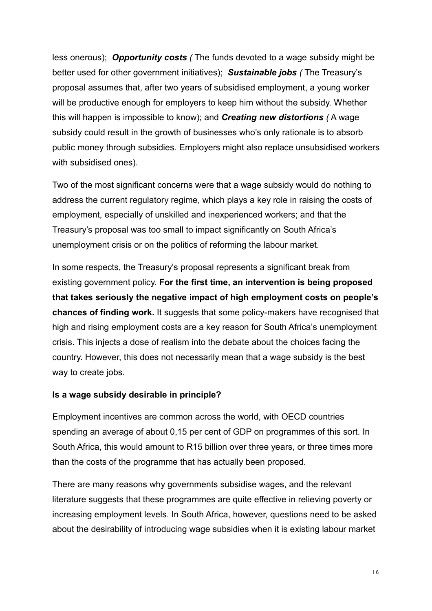less onerous); *Opportunity costs (* The funds devoted to a wage subsidy might be better used for other government initiatives); *Sustainable jobs (* The Treasury's proposal assumes that, after two years of subsidised employment, a young worker will be productive enough for employers to keep him without the subsidy. Whether this will happen is impossible to know); and *Creating new distortions (* A wage subsidy could result in the growth of businesses who's only rationale is to absorb public money through subsidies. Employers might also replace unsubsidised workers with subsidised ones).

Two of the most significant concerns were that a wage subsidy would do nothing to address the current regulatory regime, which plays a key role in raising the costs of employment, especially of unskilled and inexperienced workers; and that the Treasury's proposal was too small to impact significantly on South Africa's unemployment crisis or on the politics of reforming the labour market.

In some respects, the Treasury's proposal represents a significant break from existing government policy. **For the first time, an intervention is being proposed that takes seriously the negative impact of high employment costs on people's chances of finding work.** It suggests that some policy-makers have recognised that high and rising employment costs are a key reason for South Africa's unemployment crisis. This injects a dose of realism into the debate about the choices facing the country. However, this does not necessarily mean that a wage subsidy is the best way to create jobs.

## **Is a wage subsidy desirable in principle?**

Employment incentives are common across the world, with OECD countries spending an average of about 0,15 per cent of GDP on programmes of this sort. In South Africa, this would amount to R15 billion over three years, or three times more than the costs of the programme that has actually been proposed.

There are many reasons why governments subsidise wages, and the relevant literature suggests that these programmes are quite effective in relieving poverty or increasing employment levels. In South Africa, however, questions need to be asked about the desirability of introducing wage subsidies when it is existing labour market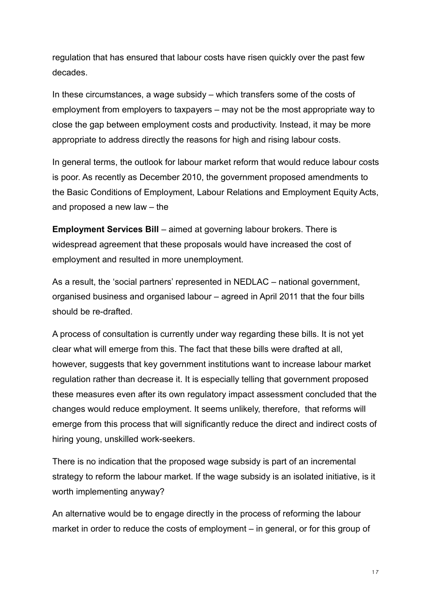regulation that has ensured that labour costs have risen quickly over the past few decades.

In these circumstances, a wage subsidy – which transfers some of the costs of employment from employers to taxpayers – may not be the most appropriate way to close the gap between employment costs and productivity. Instead, it may be more appropriate to address directly the reasons for high and rising labour costs.

In general terms, the outlook for labour market reform that would reduce labour costs is poor. As recently as December 2010, the government proposed amendments to the Basic Conditions of Employment, Labour Relations and Employment Equity Acts, and proposed a new law – the

**Employment Services Bill** – aimed at governing labour brokers. There is widespread agreement that these proposals would have increased the cost of employment and resulted in more unemployment.

As a result, the 'social partners' represented in NEDLAC – national government, organised business and organised labour – agreed in April 2011 that the four bills should be re-drafted.

A process of consultation is currently under way regarding these bills. It is not yet clear what will emerge from this. The fact that these bills were drafted at all, however, suggests that key government institutions want to increase labour market regulation rather than decrease it. It is especially telling that government proposed these measures even after its own regulatory impact assessment concluded that the changes would reduce employment. It seems unlikely, therefore, that reforms will emerge from this process that will significantly reduce the direct and indirect costs of hiring young, unskilled work-seekers.

There is no indication that the proposed wage subsidy is part of an incremental strategy to reform the labour market. If the wage subsidy is an isolated initiative, is it worth implementing anyway?

An alternative would be to engage directly in the process of reforming the labour market in order to reduce the costs of employment – in general, or for this group of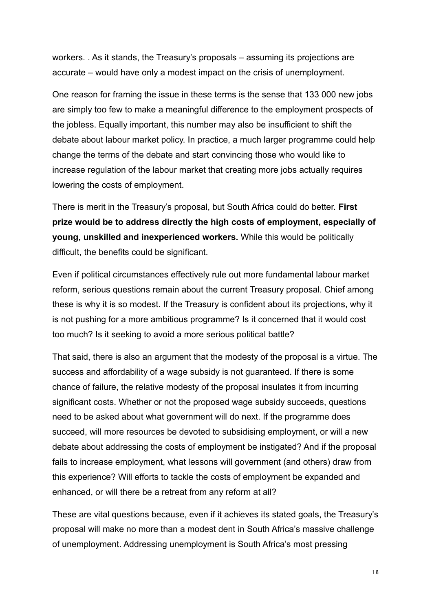workers. . As it stands, the Treasury's proposals – assuming its projections are accurate – would have only a modest impact on the crisis of unemployment.

One reason for framing the issue in these terms is the sense that 133 000 new jobs are simply too few to make a meaningful difference to the employment prospects of the jobless. Equally important, this number may also be insufficient to shift the debate about labour market policy. In practice, a much larger programme could help change the terms of the debate and start convincing those who would like to increase regulation of the labour market that creating more jobs actually requires lowering the costs of employment.

There is merit in the Treasury's proposal, but South Africa could do better. **First prize would be to address directly the high costs of employment, especially of young, unskilled and inexperienced workers.** While this would be politically difficult, the benefits could be significant.

Even if political circumstances effectively rule out more fundamental labour market reform, serious questions remain about the current Treasury proposal. Chief among these is why it is so modest. If the Treasury is confident about its projections, why it is not pushing for a more ambitious programme? Is it concerned that it would cost too much? Is it seeking to avoid a more serious political battle?

That said, there is also an argument that the modesty of the proposal is a virtue. The success and affordability of a wage subsidy is not guaranteed. If there is some chance of failure, the relative modesty of the proposal insulates it from incurring significant costs. Whether or not the proposed wage subsidy succeeds, questions need to be asked about what government will do next. If the programme does succeed, will more resources be devoted to subsidising employment, or will a new debate about addressing the costs of employment be instigated? And if the proposal fails to increase employment, what lessons will government (and others) draw from this experience? Will efforts to tackle the costs of employment be expanded and enhanced, or will there be a retreat from any reform at all?

These are vital questions because, even if it achieves its stated goals, the Treasury's proposal will make no more than a modest dent in South Africa's massive challenge of unemployment. Addressing unemployment is South Africa's most pressing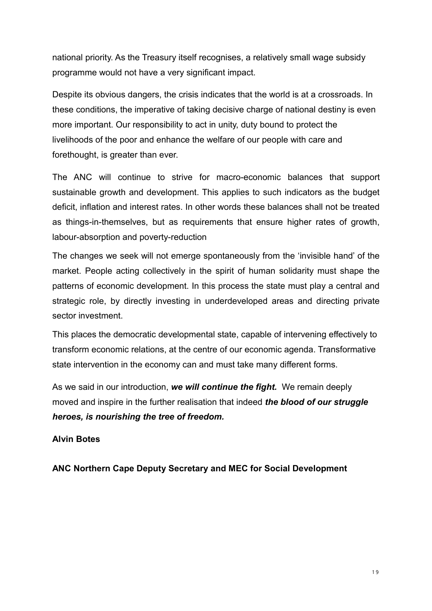national priority. As the Treasury itself recognises, a relatively small wage subsidy programme would not have a very significant impact.

Despite its obvious dangers, the crisis indicates that the world is at a crossroads. In these conditions, the imperative of taking decisive charge of national destiny is even more important. Our responsibility to act in unity, duty bound to protect the livelihoods of the poor and enhance the welfare of our people with care and forethought, is greater than ever.

The ANC will continue to strive for macro-economic balances that support sustainable growth and development. This applies to such indicators as the budget deficit, inflation and interest rates. In other words these balances shall not be treated as things-in-themselves, but as requirements that ensure higher rates of growth, labour-absorption and poverty-reduction

The changes we seek will not emerge spontaneously from the 'invisible hand' of the market. People acting collectively in the spirit of human solidarity must shape the patterns of economic development. In this process the state must play a central and strategic role, by directly investing in underdeveloped areas and directing private sector investment.

This places the democratic developmental state, capable of intervening effectively to transform economic relations, at the centre of our economic agenda. Transformative state intervention in the economy can and must take many different forms.

As we said in our introduction, *we will continue the fight.* We remain deeply moved and inspire in the further realisation that indeed *the blood of our struggle heroes, is nourishing the tree of freedom.* 

## **Alvin Botes**

**ANC Northern Cape Deputy Secretary and MEC for Social Development**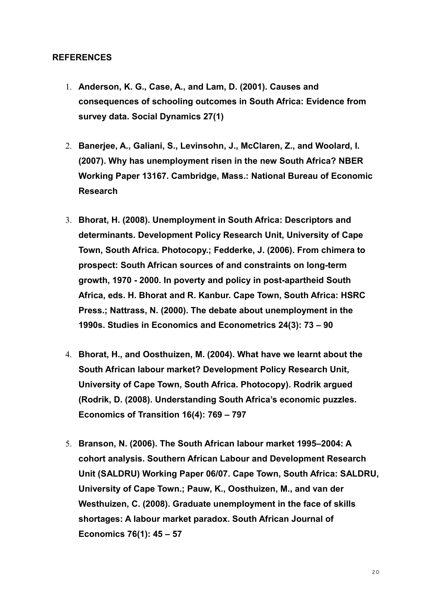#### **REFERENCES**

- 1. **Anderson, K. G., Case, A., and Lam, D. (2001). Causes and consequences of schooling outcomes in South Africa: Evidence from survey data. Social Dynamics 27(1)**
- 2. **Banerjee, A., Galiani, S., Levinsohn, J., McClaren, Z., and Woolard, I. (2007). Why has unemployment risen in the new South Africa? NBER Working Paper 13167. Cambridge, Mass.: National Bureau of Economic Research**
- 3. **Bhorat, H. (2008). Unemployment in South Africa: Descriptors and determinants. Development Policy Research Unit, University of Cape Town, South Africa. Photocopy.; Fedderke, J. (2006). From chimera to prospect: South African sources of and constraints on long-term growth, 1970 - 2000. In poverty and policy in post-apartheid South Africa, eds. H. Bhorat and R. Kanbur. Cape Town, South Africa: HSRC Press.; Nattrass, N. (2000). The debate about unemployment in the 1990s. Studies in Economics and Econometrics 24(3): 73 – 90**
- 4. **Bhorat, H., and Oosthuizen, M. (2004). What have we learnt about the South African labour market? Development Policy Research Unit, University of Cape Town, South Africa. Photocopy). Rodrik argued (Rodrik, D. (2008). Understanding South Africa's economic puzzles. Economics of Transition 16(4): 769 – 797**
- 5. **Branson, N. (2006). The South African labour market 1995–2004: A cohort analysis. Southern African Labour and Development Research Unit (SALDRU) Working Paper 06/07. Cape Town, South Africa: SALDRU, University of Cape Town.; Pauw, K., Oosthuizen, M., and van der Westhuizen, C. (2008). Graduate unemployment in the face of skills shortages: A labour market paradox. South African Journal of Economics 76(1): 45 – 57**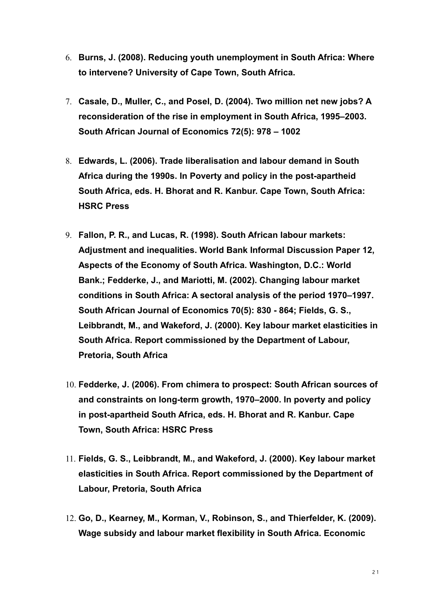- 6. **Burns, J. (2008). Reducing youth unemployment in South Africa: Where to intervene? University of Cape Town, South Africa.**
- 7. **Casale, D., Muller, C., and Posel, D. (2004). Two million net new jobs? A reconsideration of the rise in employment in South Africa, 1995–2003. South African Journal of Economics 72(5): 978 – 1002**
- 8. **Edwards, L. (2006). Trade liberalisation and labour demand in South Africa during the 1990s. In Poverty and policy in the post-apartheid South Africa, eds. H. Bhorat and R. Kanbur. Cape Town, South Africa: HSRC Press**
- 9. **Fallon, P. R., and Lucas, R. (1998). South African labour markets: Adjustment and inequalities. World Bank Informal Discussion Paper 12, Aspects of the Economy of South Africa. Washington, D.C.: World Bank.; Fedderke, J., and Mariotti, M. (2002). Changing labour market conditions in South Africa: A sectoral analysis of the period 1970–1997. South African Journal of Economics 70(5): 830 - 864; Fields, G. S., Leibbrandt, M., and Wakeford, J. (2000). Key labour market elasticities in South Africa. Report commissioned by the Department of Labour, Pretoria, South Africa**
- 10. **Fedderke, J. (2006). From chimera to prospect: South African sources of and constraints on long-term growth, 1970–2000. In poverty and policy in post-apartheid South Africa, eds. H. Bhorat and R. Kanbur. Cape Town, South Africa: HSRC Press**
- 11. **Fields, G. S., Leibbrandt, M., and Wakeford, J. (2000). Key labour market elasticities in South Africa. Report commissioned by the Department of Labour, Pretoria, South Africa**
- 12. **Go, D., Kearney, M., Korman, V., Robinson, S., and Thierfelder, K. (2009). Wage subsidy and labour market flexibility in South Africa. Economic**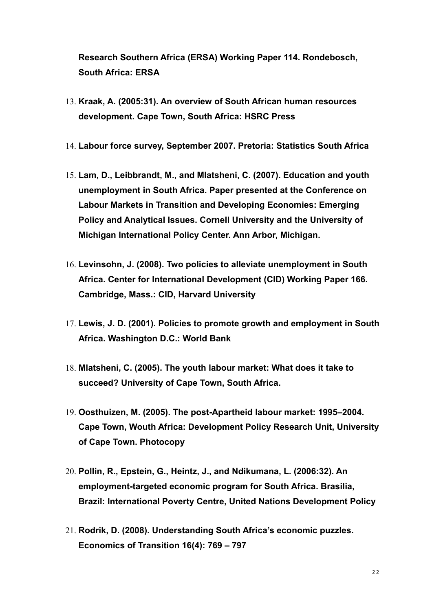**Research Southern Africa (ERSA) Working Paper 114. Rondebosch, South Africa: ERSA**

- 13. **Kraak, A. (2005:31). An overview of South African human resources development. Cape Town, South Africa: HSRC Press**
- 14. **Labour force survey, September 2007. Pretoria: Statistics South Africa**
- 15. **Lam, D., Leibbrandt, M., and Mlatsheni, C. (2007). Education and youth unemployment in South Africa. Paper presented at the Conference on Labour Markets in Transition and Developing Economies: Emerging Policy and Analytical Issues. Cornell University and the University of Michigan International Policy Center. Ann Arbor, Michigan.**
- 16. **Levinsohn, J. (2008). Two policies to alleviate unemployment in South Africa. Center for International Development (CID) Working Paper 166. Cambridge, Mass.: CID, Harvard University**
- 17. **Lewis, J. D. (2001). Policies to promote growth and employment in South Africa. Washington D.C.: World Bank**
- 18. **Mlatsheni, C. (2005). The youth labour market: What does it take to succeed? University of Cape Town, South Africa.**
- 19. **Oosthuizen, M. (2005). The post-Apartheid labour market: 1995–2004. Cape Town, Wouth Africa: Development Policy Research Unit, University of Cape Town. Photocopy**
- 20. **Pollin, R., Epstein, G., Heintz, J., and Ndikumana, L. (2006:32). An employment-targeted economic program for South Africa. Brasilia, Brazil: International Poverty Centre, United Nations Development Policy**
- 21. **Rodrik, D. (2008). Understanding South Africa's economic puzzles. Economics of Transition 16(4): 769 – 797**